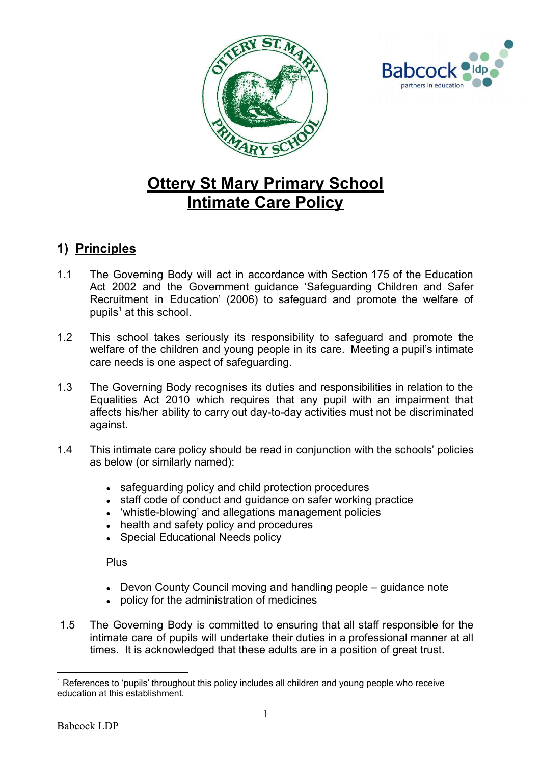



# **Ottery St Mary Primary School Intimate Care Policy**

#### **1) Principles**

- 1.1 The Governing Body will act in accordance with Section 175 of the Education Act 2002 and the Government guidance 'Safeguarding Children and Safer Recruitment in Education' (2006) to safeguard and promote the welfare of pupils $<sup>1</sup>$  at this school.</sup>
- 1.2 This school takes seriously its responsibility to safeguard and promote the welfare of the children and young people in its care. Meeting a pupil's intimate care needs is one aspect of safeguarding.
- 1.3 The Governing Body recognises its duties and responsibilities in relation to the Equalities Act 2010 which requires that any pupil with an impairment that affects his/her ability to carry out day-to-day activities must not be discriminated against.
- 1.4 This intimate care policy should be read in conjunction with the schools' policies as below (or similarly named):
	- safeguarding policy and child protection procedures
	- staff code of conduct and guidance on safer working practice
	- 'whistle-blowing' and allegations management policies
	- health and safety policy and procedures
	- Special Educational Needs policy

Plus

- $\bullet$  Devon County Council moving and handling people quidance note
- policy for the administration of medicines
- 1.5 The Governing Body is committed to ensuring that all staff responsible for the intimate care of pupils will undertake their duties in a professional manner at all times. It is acknowledged that these adults are in a position of great trust.

<sup>&</sup>lt;sup>1</sup> References to 'pupils' throughout this policy includes all children and young people who receive education at this establishment.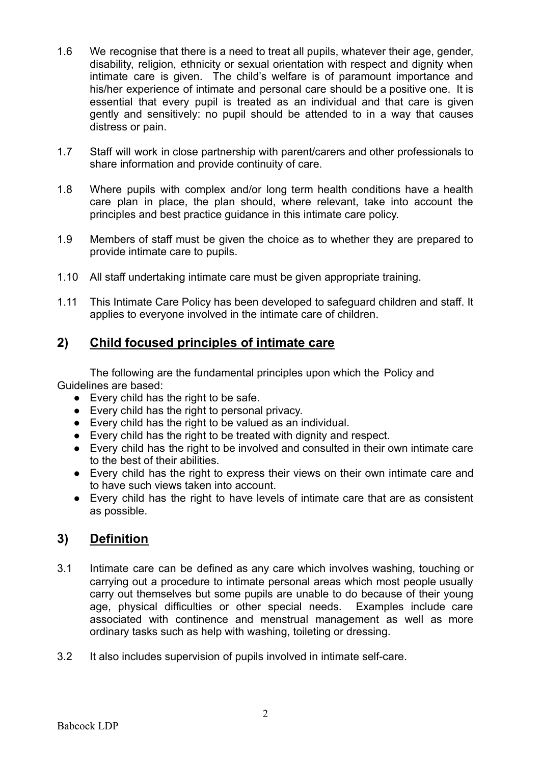- 1.6 We recognise that there is a need to treat all pupils, whatever their age, gender, disability, religion, ethnicity or sexual orientation with respect and dignity when intimate care is given. The child's welfare is of paramount importance and his/her experience of intimate and personal care should be a positive one. It is essential that every pupil is treated as an individual and that care is given gently and sensitively: no pupil should be attended to in a way that causes distress or pain.
- 1.7 Staff will work in close partnership with parent/carers and other professionals to share information and provide continuity of care.
- 1.8 Where pupils with complex and/or long term health conditions have a health care plan in place, the plan should, where relevant, take into account the principles and best practice guidance in this intimate care policy.
- 1.9 Members of staff must be given the choice as to whether they are prepared to provide intimate care to pupils.
- 1.10 All staff undertaking intimate care must be given appropriate training.
- 1.11 This Intimate Care Policy has been developed to safeguard children and staff. It applies to everyone involved in the intimate care of children.

#### **2) Child focused principles of intimate care**

The following are the fundamental principles upon which the Policy and Guidelines are based:

- Every child has the right to be safe.
- Every child has the right to personal privacy.
- Every child has the right to be valued as an individual.
- Every child has the right to be treated with dignity and respect.
- Every child has the right to be involved and consulted in their own intimate care to the best of their abilities.
- Every child has the right to express their views on their own intimate care and to have such views taken into account.
- Every child has the right to have levels of intimate care that are as consistent as possible.

#### **3) Definition**

- 3.1 Intimate care can be defined as any care which involves washing, touching or carrying out a procedure to intimate personal areas which most people usually carry out themselves but some pupils are unable to do because of their young age, physical difficulties or other special needs. Examples include care associated with continence and menstrual management as well as more ordinary tasks such as help with washing, toileting or dressing.
- 3.2 It also includes supervision of pupils involved in intimate self-care.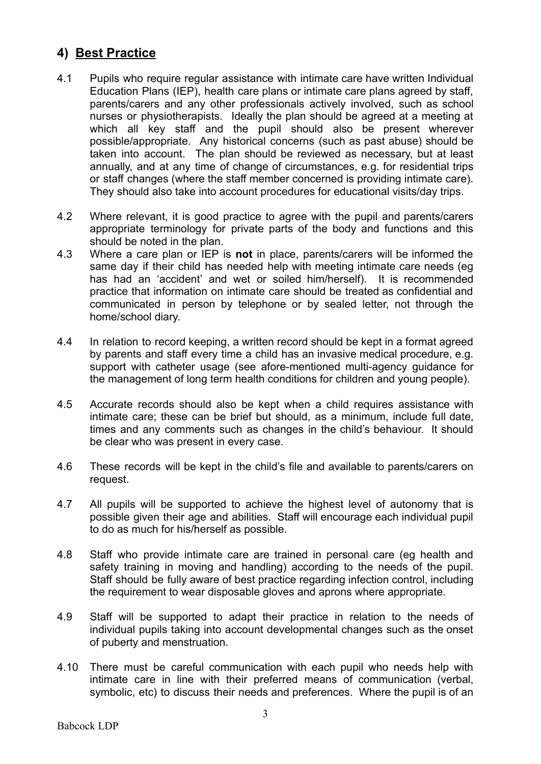#### **4) Best Practice**

- 4.1 Pupils who require regular assistance with intimate care have written Individual Education Plans (IEP), health care plans or intimate care plans agreed by staff, parents/carers and any other professionals actively involved, such as school nurses or physiotherapists. Ideally the plan should be agreed at a meeting at which all key staff and the pupil should also be present wherever possible/appropriate. Any historical concerns (such as past abuse) should be taken into account. The plan should be reviewed as necessary, but at least annually, and at any time of change of circumstances, e.g. for residential trips or staff changes (where the staff member concerned is providing intimate care). They should also take into account procedures for educational visits/day trips.
- 4.2 Where relevant, it is good practice to agree with the pupil and parents/carers appropriate terminology for private parts of the body and functions and this should be noted in the plan.
- 4.3 Where a care plan or IEP is **not** in place, parents/carers will be informed the same day if their child has needed help with meeting intimate care needs (eg has had an 'accident' and wet or soiled him/herself). It is recommended practice that information on intimate care should be treated as confidential and communicated in person by telephone or by sealed letter, not through the home/school diary.
- 4.4 In relation to record keeping, a written record should be kept in a format agreed by parents and staff every time a child has an invasive medical procedure, e.g. support with catheter usage (see afore-mentioned multi-agency guidance for the management of long term health conditions for children and young people).
- 4.5 Accurate records should also be kept when a child requires assistance with intimate care; these can be brief but should, as a minimum, include full date, times and any comments such as changes in the child's behaviour. It should be clear who was present in every case.
- 4.6 These records will be kept in the child's file and available to parents/carers on request.
- 4.7 All pupils will be supported to achieve the highest level of autonomy that is possible given their age and abilities. Staff will encourage each individual pupil to do as much for his/herself as possible.
- 4.8 Staff who provide intimate care are trained in personal care (eg health and safety training in moving and handling) according to the needs of the pupil. Staff should be fully aware of best practice regarding infection control, including the requirement to wear disposable gloves and aprons where appropriate.
- 4.9 Staff will be supported to adapt their practice in relation to the needs of individual pupils taking into account developmental changes such as the onset of puberty and menstruation.
- 4.10 There must be careful communication with each pupil who needs help with intimate care in line with their preferred means of communication (verbal, symbolic, etc) to discuss their needs and preferences. Where the pupil is of an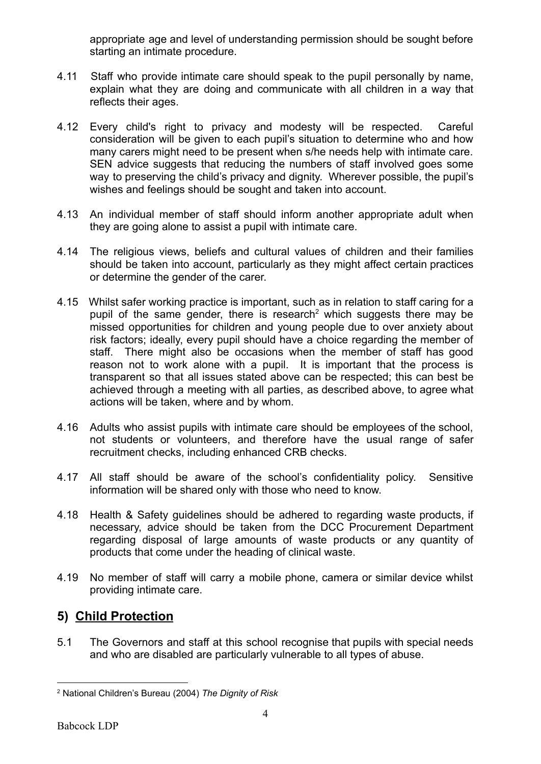appropriate age and level of understanding permission should be sought before starting an intimate procedure.

- 4.11 Staff who provide intimate care should speak to the pupil personally by name, explain what they are doing and communicate with all children in a way that reflects their ages.
- 4.12 Every child's right to privacy and modesty will be respected. Careful consideration will be given to each pupil's situation to determine who and how many carers might need to be present when s/he needs help with intimate care. SEN advice suggests that reducing the numbers of staff involved goes some way to preserving the child's privacy and dignity. Wherever possible, the pupil's wishes and feelings should be sought and taken into account.
- 4.13 An individual member of staff should inform another appropriate adult when they are going alone to assist a pupil with intimate care.
- 4.14 The religious views, beliefs and cultural values of children and their families should be taken into account, particularly as they might affect certain practices or determine the gender of the carer.
- 4.15 Whilst safer working practice is important, such as in relation to staff caring for a pupil of the same gender, there is research<sup>2</sup> which suggests there may be missed opportunities for children and young people due to over anxiety about risk factors; ideally, every pupil should have a choice regarding the member of staff. There might also be occasions when the member of staff has good reason not to work alone with a pupil. It is important that the process is transparent so that all issues stated above can be respected; this can best be achieved through a meeting with all parties, as described above, to agree what actions will be taken, where and by whom.
- 4.16 Adults who assist pupils with intimate care should be employees of the school, not students or volunteers, and therefore have the usual range of safer recruitment checks, including enhanced CRB checks.
- 4.17 All staff should be aware of the school's confidentiality policy. Sensitive information will be shared only with those who need to know.
- 4.18 Health & Safety guidelines should be adhered to regarding waste products, if necessary, advice should be taken from the DCC Procurement Department regarding disposal of large amounts of waste products or any quantity of products that come under the heading of clinical waste.
- 4.19 No member of staff will carry a mobile phone, camera or similar device whilst providing intimate care.

## **5) Child Protection**

5.1 The Governors and staff at this school recognise that pupils with special needs and who are disabled are particularly vulnerable to all types of abuse.

<sup>2</sup> National Children's Bureau (2004) *The Dignity of Risk*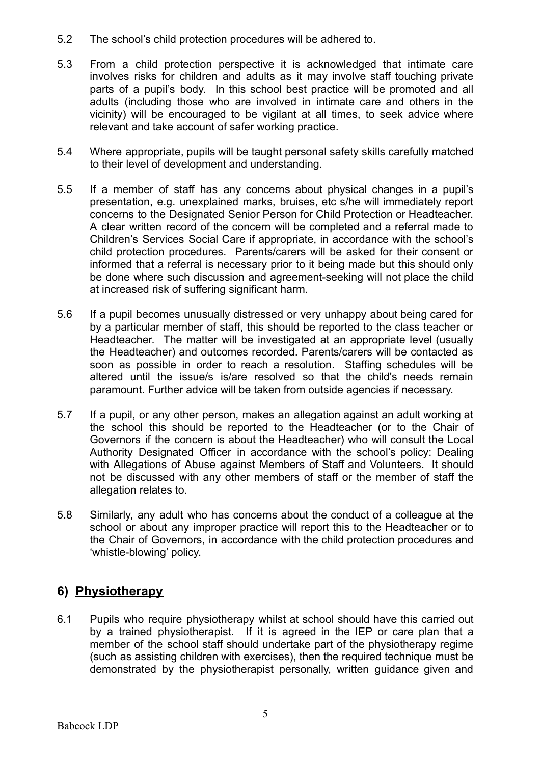- 5.2 The school's child protection procedures will be adhered to.
- 5.3 From a child protection perspective it is acknowledged that intimate care involves risks for children and adults as it may involve staff touching private parts of a pupil's body. In this school best practice will be promoted and all adults (including those who are involved in intimate care and others in the vicinity) will be encouraged to be vigilant at all times, to seek advice where relevant and take account of safer working practice.
- 5.4 Where appropriate, pupils will be taught personal safety skills carefully matched to their level of development and understanding.
- 5.5 If a member of staff has any concerns about physical changes in a pupil's presentation, e.g. unexplained marks, bruises, etc s/he will immediately report concerns to the Designated Senior Person for Child Protection or Headteacher. A clear written record of the concern will be completed and a referral made to Children's Services Social Care if appropriate, in accordance with the school's child protection procedures. Parents/carers will be asked for their consent or informed that a referral is necessary prior to it being made but this should only be done where such discussion and agreement-seeking will not place the child at increased risk of suffering significant harm.
- 5.6 If a pupil becomes unusually distressed or very unhappy about being cared for by a particular member of staff, this should be reported to the class teacher or Headteacher. The matter will be investigated at an appropriate level (usually the Headteacher) and outcomes recorded. Parents/carers will be contacted as soon as possible in order to reach a resolution. Staffing schedules will be altered until the issue/s is/are resolved so that the child's needs remain paramount. Further advice will be taken from outside agencies if necessary.
- 5.7 If a pupil, or any other person, makes an allegation against an adult working at the school this should be reported to the Headteacher (or to the Chair of Governors if the concern is about the Headteacher) who will consult the Local Authority Designated Officer in accordance with the school's policy: Dealing with Allegations of Abuse against Members of Staff and Volunteers. It should not be discussed with any other members of staff or the member of staff the allegation relates to.
- 5.8 Similarly, any adult who has concerns about the conduct of a colleague at the school or about any improper practice will report this to the Headteacher or to the Chair of Governors, in accordance with the child protection procedures and 'whistle-blowing' policy.

## **6) Physiotherapy**

6.1 Pupils who require physiotherapy whilst at school should have this carried out by a trained physiotherapist. If it is agreed in the IEP or care plan that a member of the school staff should undertake part of the physiotherapy regime (such as assisting children with exercises), then the required technique must be demonstrated by the physiotherapist personally, written guidance given and